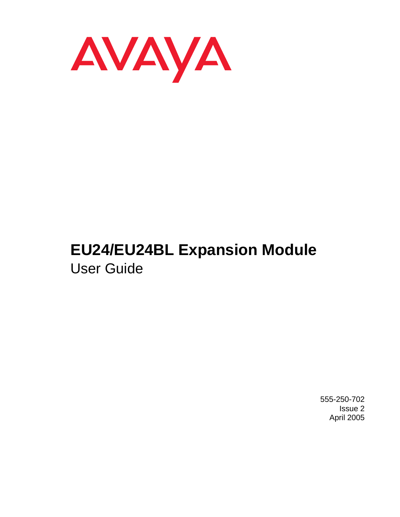

# **EU24/EU24BL Expansion Module** User Guide

555-250-702 Issue 2 April 2005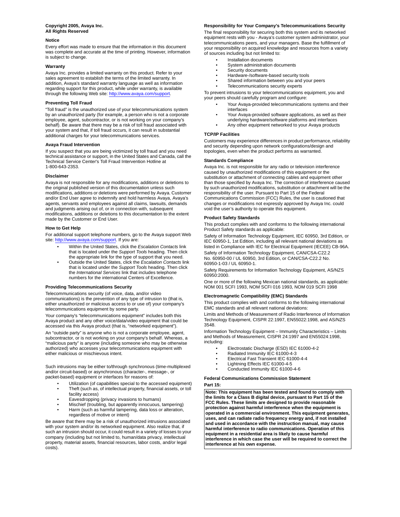### **Copyright 2005, Avaya Inc. All Rights Reserved**

### **Notice**

Every effort was made to ensure that the information in this document was complete and accurate at the time of printing. However, information is subject to change.

### **Warranty**

Avaya Inc. provides a limited warranty on this product. Refer to your sales agreement to establish the terms of the limited warranty. In addition, Avaya's standard warranty language as well as information regarding support for this product, while under warranty, is available through the following Web site: [http://www.avaya.com/support](http://support.avaya.com/japple/css/japple?PAGE=avaya.css.CSSIndex).

### **Preventing Toll Fraud**

"Toll fraud" is the unauthorized use of your telecommunications system by an unauthorized party (for example, a person who is not a corporate employee, agent, subcontractor, or is not working on your company's behalf). Be aware that there may be a risk of toll fraud associated with your system and that, if toll fraud occurs, it can result in substantial additional charges for your telecommunications services.

### **Avaya Fraud Intervention**

If you suspect that you are being victimized by toll fraud and you need technical assistance or support, in the United States and Canada, call the Technical Service Center's Toll Fraud Intervention Hotline at 1-800-643-2353.

#### **Disclaimer**

Avaya is not responsible for any modifications, additions or deletions to the original published version of this documentation unless such modifications, additions or deletions were performed by Avaya. Customer and/or End User agree to indemnify and hold harmless Avaya, Avaya's agents, servants and employees against all claims, lawsuits, demands and judgments arising out of, or in connection with, subsequent modifications, additions or deletions to this documentation to the extent made by the Customer or End User.

#### **How to Get Help**

For additional support telephone numbers, go to the Avaya support Web site: [http://www.avaya.com/support.](http://support.avaya.com/japple/css/japple?PAGE=avaya.css.CSSIndex) If you are:

- Within the United States, click the Escalation Contacts link that is located under the Support Tools heading. Then click the appropriate link for the type of support that you need.
- Outside the United States, click the Escalation Contacts link that is located under the Support Tools heading. Then click the International Services link that includes telephone numbers for the international Centers of Excellence.

#### **Providing Telecommunications Security**

Telecommunications security (of voice, data, and/or video communications) is the prevention of any type of intrusion to (that is, either unauthorized or malicious access to or use of) your company's telecommunications equipment by some party.

Your company's "telecommunications equipment" includes both this Avaya product and any other voice/data/video equipment that could be accessed via this Avaya product (that is, "networked equipment").

An "outside party" is anyone who is not a corporate employee, agent, subcontractor, or is not working on your company's behalf. Whereas, a "malicious party" is anyone (including someone who may be otherwise authorized) who accesses your telecommunications equipment with either malicious or mischievous intent.

Such intrusions may be either to/through synchronous (time-multiplexed and/or circuit-based) or asynchronous (character-, message-, or packet-based) equipment or interfaces for reasons of:

- Utilization (of capabilities special to the accessed equipment) • Theft (such as, of intellectual property, financial assets, or toll facility access)
- Eavesdropping (privacy invasions to humans)
- Mischief (troubling, but apparently innocuous, tampering)
- Harm (such as harmful tampering, data loss or alteration, regardless of motive or intent)

Be aware that there may be a risk of unauthorized intrusions associated with your system and/or its networked equipment. Also realize that, if such an intrusion should occur, it could result in a variety of losses to your company (including but not limited to, human/data privacy, intellectual property, material assets, financial resources, labor costs, and/or legal costs).

### **Responsibility for Your Company's Telecommunications Security**

The final responsibility for securing both this system and its networked equipment rests with you - Avaya's customer system administrator, your telecommunications peers, and your managers. Base the fulfillment of your responsibility on acquired knowledge and resources from a variety of sources including but not limited to:

- Installation documents
	- System administration documents
- Security documents
- Hardware-/software-based security tools
- Shared information between you and your peers Telecommunications security experts

To prevent intrusions to your telecommunications equipment, you and your peers should carefully program and configure:

- Your Avaya-provided telecommunications systems and their interfaces
	- Your Avaya-provided software applications, as well as their underlying hardware/software platforms and interfaces
	- Any other equipment networked to your Avaya products

### **TCP/IP Facilities**

Customers may experience differences in product performance, reliability and security depending upon network configurations/design and topologies, even when the product performs as warranted.

### **Standards Compliance**

Avaya Inc. is not responsible for any radio or television interference caused by unauthorized modifications of this equipment or the substitution or attachment of connecting cables and equipment other than those specified by Avaya Inc. The correction of interference caused by such unauthorized modifications, substitution or attachment will be the responsibility of the user. Pursuant to Part 15 of the Federal Communications Commission (FCC) Rules, the user is cautioned that changes or modifications not expressly approved by Avaya Inc. could void the user's authority to operate this equipment.

### **Product Safety Standards**

This product complies with and conforms to the following international Product Safety standards as applicable:

Safety of Information Technology Equipment, IEC 60950, 3rd Edition, or IEC 60950-1, 1st Edition, including all relevant national deviations as listed in Compliance with IEC for Electrical Equipment (IECEE) CB-96A.

Safety of Information Technology Equipment, CAN/CSA-C22.2 No. 60950-00 / UL 60950, 3rd Edition, or CAN/CSA-C22.2 No. 60950-1-03 / UL 60950-1.

Safety Requirements for Information Technology Equipment, AS/NZS 60950:2000.

One or more of the following Mexican national standards, as applicable: NOM 001 SCFI 1993, NOM SCFI 016 1993, NOM 019 SCFI 1998

### **Electromagnetic Compatibility (EMC) Standards**

This product complies with and conforms to the following international EMC standards and all relevant national deviations:

Limits and Methods of Measurement of Radio Interference of Information Technology Equipment, CISPR 22:1997, EN55022:1998, and AS/NZS 3548.

Information Technology Equipment – Immunity Characteristics – Limits and Methods of Measurement, CISPR 24:1997 and EN55024:1998, including:

- Electrostatic Discharge (ESD) IEC 61000-4-2 Radiated Immunity IEC 61000-4-3
- 
- Electrical Fast Transient IEC 61000-4-4
- Lightning Effects IEC 61000-4-5 • Conducted Immunity IEC 61000-4-6
- 

### **Federal Communications Commission Statement Part 15:**

**Note: This equipment has been tested and found to comply with the limits for a Class B digital device, pursuant to Part 15 of the FCC Rules. These limits are designed to provide reasonable protection against harmful interference when the equipment is operated in a commercial environment. This equipment generates, uses, and can radiate radio frequency energy and, if not installed and used in accordance with the instruction manual, may cause harmful interference to radio communications. Operation of this equipment in a residential area is likely to cause harmful interference in which case the user will be required to correct the interference at his own expense.**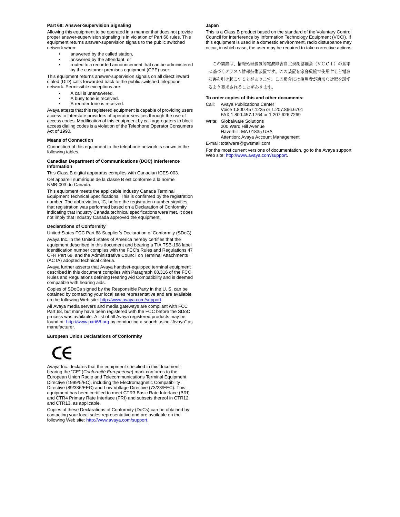### **Part 68: Answer-Supervision Signaling**

Allowing this equipment to be operated in a manner that does not provide proper answer-supervision signaling is in violation of Part 68 rules. This equipment returns answer-supervision signals to the public switched network when:

- answered by the called station.
- answered by the attendant, or
- routed to a recorded announcement that can be administered by the customer premises equipment (CPE) user.

This equipment returns answer-supervision signals on all direct inward dialed (DID) calls forwarded back to the public switched telephone network. Permissible exceptions are:

- A call is unanswered.
- A busy tone is received.
- A reorder tone is received.

Avaya attests that this registered equipment is capable of providing users access to interstate providers of operator services through the use of access codes. Modification of this equipment by call aggregators to block access dialing codes is a violation of the Telephone Operator Consumers Act of 1990.

#### **Means of Connection**

Connection of this equipment to the telephone network is shown in the following tables.

#### **Canadian Department of Communications (DOC) Interference Information**

This Class B digital apparatus complies with Canadian ICES-003. Cet appareil numérique de la classe B est conforme à la norme NMB-003 du Canada.

This equipment meets the applicable Industry Canada Terminal Equipment Technical Specifications. This is confirmed by the registration number. The abbreviation, IC, before the registration number signifies that registration was performed based on a Declaration of Conformity indicating that Industry Canada technical specifications were met. It does not imply that Industry Canada approved the equipment.

### **Declarations of Conformity**

United States FCC Part 68 Supplier's Declaration of Conformity (SDoC)

Avaya Inc. in the United States of America hereby certifies that the equipment described in this document and bearing a TIA TSB-168 label identification number complies with the FCC's Rules and Regulations 47 CFR Part 68, and the Administrative Council on Terminal Attachments (ACTA) adopted technical criteria.

Avaya further asserts that Avaya handset-equipped terminal equipment described in this document complies with Paragraph 68.316 of the FCC Rules and Regulations defining Hearing Aid Compatibility and is deemed compatible with hearing aids.

Copies of SDoCs signed by the Responsible Party in the U. S. can be obtained by contacting your local sales representative and are available on the following Web site: http://www.av

All Avaya media servers and media gateways are compliant with FCC Part 68, but many have been registered with the FCC before the SDoC process was available. A list of all Avaya registered products may be found at: [http://www.part68.org](http://www.part68.org/) by conducting a search using "Avaya" as manufacturer.

#### **European Union Declarations of Conformity**



Avaya Inc. declares that the equipment specified in this document bearing the "CE" (Conformité Europeénne) mark conforms to the European Union Radio and Telecommunications Terminal Equipment Directive (1999/5/EC), including the Electromagnetic Compatibility Directive (89/336/EEC) and Low Voltage Directive (73/23/EEC). This equipment has been certified to meet CTR3 Basic Rate Interface (BRI) and CTR4 Primary Rate Interface (PRI) and subsets thereof in CTR12 and CTR13, as applicable.

Copies of these Declarations of Conformity (DoCs) can be obtained by contacting your local sales representative and are available on the following Web site: [http://www.avaya.com/support](http://www.avaya.com/support/).

### **Japan**

This is a Class B product based on the standard of the Voluntary Control Council for Interference by Information Technology Equipment (VCCI). If this equipment is used in a domestic environment, radio disturbance may occur, in which case, the user may be required to take corrective actions.

この装置は、情報処理装置等電波障害自主規制協議会 (VCCI) の基準 に基づくクラスA情報技術装置です。この装置を家庭環境で使用すると電波 妨害を引き起こすことがあります。この場合には使用者が適切な対策を講ず るよう要求されることがあります。

### **To order copies of this and other documents:**

Call: Avaya Publications Center Voice 1.800.457.1235 or 1.207.866.6701 FAX 1.800.457.1764 or 1.207.626.7269

Write: Globalware Solutions 200 Ward Hill Avenue Haverhill, MA 01835 USA Attention: Avaya Account Management

E-mail: totalware@gwsmail.com

For the most current versions of documentation, go to the Avaya support Web site: [http://www.avaya.com/support](http://www.avaya.com/support/).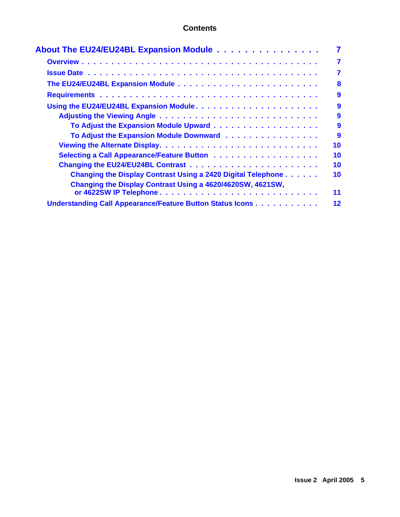### **Contents**

| About The EU24/EU24BL Expansion Module                       | 7                |
|--------------------------------------------------------------|------------------|
|                                                              | 7                |
|                                                              | 7                |
|                                                              | 8                |
|                                                              | 9                |
|                                                              | 9                |
|                                                              | $\boldsymbol{9}$ |
|                                                              | $\boldsymbol{9}$ |
| To Adjust the Expansion Module Downward                      | 9                |
|                                                              | 10               |
|                                                              | 10               |
|                                                              | 10               |
| Changing the Display Contrast Using a 2420 Digital Telephone | 10               |
| Changing the Display Contrast Using a 4620/4620SW, 4621SW,   | 11               |
| Understanding Call Appearance/Feature Button Status Icons    | $12 \,$          |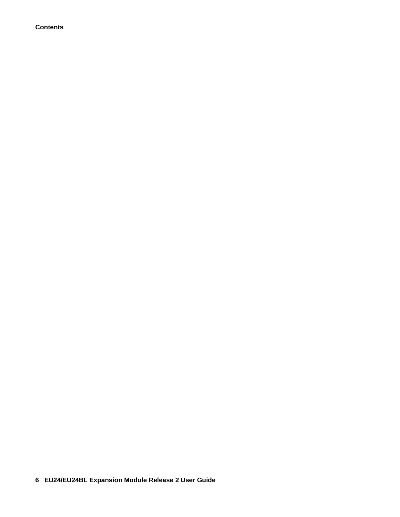### **Contents**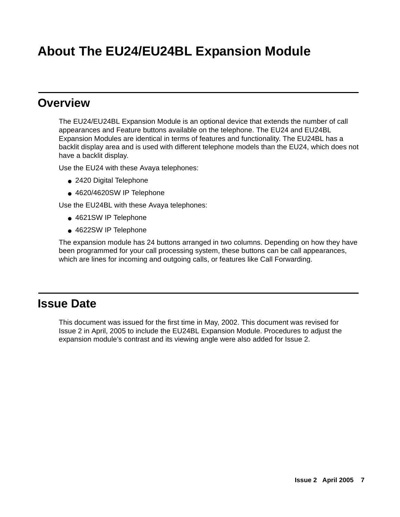# <span id="page-6-0"></span>**About The EU24/EU24BL Expansion Module**

## <span id="page-6-1"></span>**Overview**

The EU24/EU24BL Expansion Module is an optional device that extends the number of call appearances and Feature buttons available on the telephone. The EU24 and EU24BL Expansion Modules are identical in terms of features and functionality. The EU24BL has a backlit display area and is used with different telephone models than the EU24, which does not have a backlit display.

Use the EU24 with these Avaya telephones:

- 2420 Digital Telephone
- 4620/4620SW IP Telephone

Use the EU24BL with these Avaya telephones:

- 4621SW IP Telephone
- 4622SW IP Telephone

The expansion module has 24 buttons arranged in two columns. Depending on how they have been programmed for your call processing system, these buttons can be call appearances, which are lines for incoming and outgoing calls, or features like Call Forwarding.

## <span id="page-6-2"></span>**Issue Date**

This document was issued for the first time in May, 2002. This document was revised for Issue 2 in April, 2005 to include the EU24BL Expansion Module. Procedures to adjust the expansion module's contrast and its viewing angle were also added for Issue 2.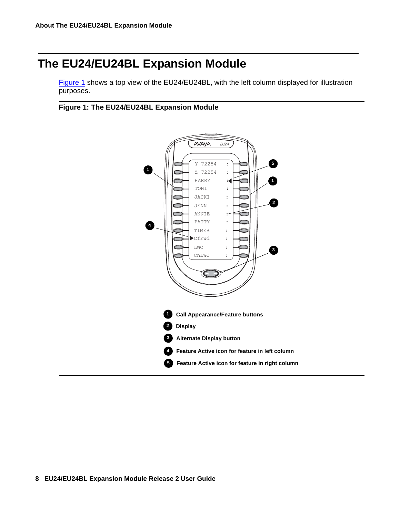## <span id="page-7-0"></span>**The EU24/EU24BL Expansion Module**

[Figure 1](#page-7-1) shows a top view of the EU24/EU24BL, with the left column displayed for illustration purposes.

<span id="page-7-1"></span>**Figure 1: The EU24/EU24BL Expansion Module**

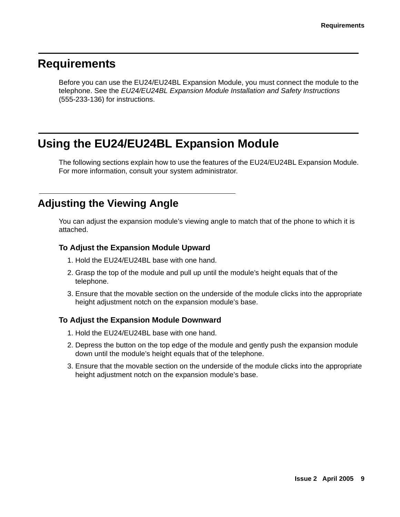## <span id="page-8-0"></span>**Requirements**

Before you can use the EU24/EU24BL Expansion Module, you must connect the module to the telephone. See the EU24/EU24BL Expansion Module Installation and Safety Instructions (555-233-136) for instructions.

## <span id="page-8-1"></span>**Using the EU24/EU24BL Expansion Module**

The following sections explain how to use the features of the EU24/EU24BL Expansion Module. For more information, consult your system administrator.

## <span id="page-8-2"></span>**Adjusting the Viewing Angle**

You can adjust the expansion module's viewing angle to match that of the phone to which it is attached.

### <span id="page-8-3"></span>**To Adjust the Expansion Module Upward**

- 1. Hold the EU24/EU24BL base with one hand.
- 2. Grasp the top of the module and pull up until the module's height equals that of the telephone.
- 3. Ensure that the movable section on the underside of the module clicks into the appropriate height adjustment notch on the expansion module's base.

### <span id="page-8-4"></span>**To Adjust the Expansion Module Downward**

- 1. Hold the EU24/EU24BL base with one hand.
- 2. Depress the button on the top edge of the module and gently push the expansion module down until the module's height equals that of the telephone.
- 3. Ensure that the movable section on the underside of the module clicks into the appropriate height adjustment notch on the expansion module's base.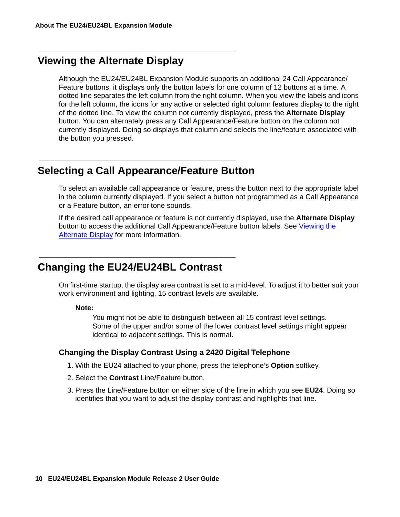## <span id="page-9-0"></span>**Viewing the Alternate Display**

Although the EU24/EU24BL Expansion Module supports an additional 24 Call Appearance/ Feature buttons, it displays only the button labels for one column of 12 buttons at a time. A dotted line separates the left column from the right column. When you view the labels and icons for the left column, the icons for any active or selected right column features display to the right of the dotted line. To view the column not currently displayed, press the **Alternate Display** button. You can alternately press any Call Appearance/Feature button on the column not currently displayed. Doing so displays that column and selects the line/feature associated with the button you pressed.

## <span id="page-9-1"></span>**Selecting a Call Appearance/Feature Button**

To select an available call appearance or feature, press the button next to the appropriate label in the column currently displayed. If you select a button not programmed as a Call Appearance or a Feature button, an error tone sounds.

If the desired call appearance or feature is not currently displayed, use the **Alternate Display** button to access the additional Call Appearance/Feature button labels. See Viewing the [Alternate Display](#page-9-0) for more information.

## <span id="page-9-2"></span>**Changing the EU24/EU24BL Contrast**

On first-time startup, the display area contrast is set to a mid-level. To adjust it to better suit your work environment and lighting, 15 contrast levels are available.

### **Note:**

You might not be able to distinguish between all 15 contrast level settings. Some of the upper and/or some of the lower contrast level settings might appear identical to adjacent settings. This is normal.

### <span id="page-9-3"></span>**Changing the Display Contrast Using a 2420 Digital Telephone**

- <span id="page-9-4"></span>1. With the EU24 attached to your phone, press the telephone's **Option** softkey.
- 2. Select the **Contrast** Line/Feature button.
- 3. Press the Line/Feature button on either side of the line in which you see **EU24**. Doing so identifies that you want to adjust the display contrast and highlights that line.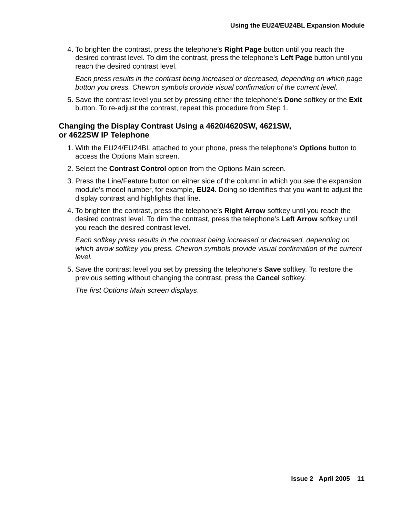4. To brighten the contrast, press the telephone's **Right Page** button until you reach the desired contrast level. To dim the contrast, press the telephone's **Left Page** button until you reach the desired contrast level.

Each press results in the contrast being increased or decreased, depending on which page button you press. Chevron symbols provide visual confirmation of the current level.

5. Save the contrast level you set by pressing either the telephone's **Done** softkey or the **Exit**  button. To re-adjust the contrast, repeat this procedure from Step [1](#page-9-4).

### <span id="page-10-0"></span>**Changing the Display Contrast Using a 4620/4620SW, 4621SW, or 4622SW IP Telephone**

- 1. With the EU24/EU24BL attached to your phone, press the telephone's **Options** button to access the Options Main screen.
- 2. Select the **Contrast Control** option from the Options Main screen.
- 3. Press the Line/Feature button on either side of the column in which you see the expansion module's model number, for example, **EU24**. Doing so identifies that you want to adjust the display contrast and highlights that line.
- 4. To brighten the contrast, press the telephone's **Right Arrow** softkey until you reach the desired contrast level. To dim the contrast, press the telephone's **Left Arrow** softkey until you reach the desired contrast level.

Each softkey press results in the contrast being increased or decreased, depending on which arrow softkey you press. Chevron symbols provide visual confirmation of the current level.

5. Save the contrast level you set by pressing the telephone's **Save** softkey. To restore the previous setting without changing the contrast, press the **Cancel** softkey.

The first Options Main screen displays.